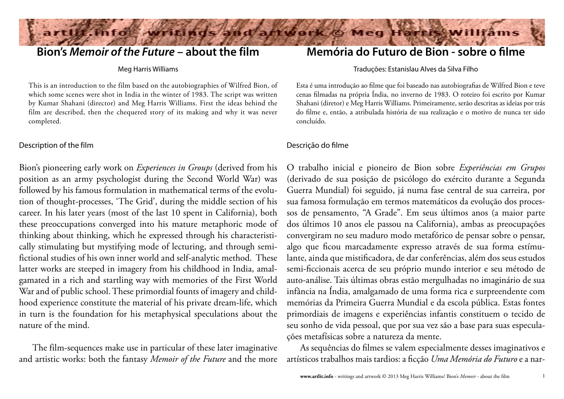# **Bion's** *Memoir of the Future* **– about the film**

#### Meg Harris Williams

This is an introduction to the film based on the autobiographies of Wilfred Bion, of which some scenes were shot in India in the winter of 1983. The script was written by Kumar Shahani (director) and Meg Harris Williams. First the ideas behind the film are described, then the chequered story of its making and why it was never completed.

#### Description of the film

Bion's pioneering early work on *Experiences in Groups* (derived from his position as an army psychologist during the Second World War) was followed by his famous formulation in mathematical terms of the evolution of thought-processes, 'The Grid', during the middle section of his career. In his later years (most of the last 10 spent in California), both these preoccupations converged into his mature metaphoric mode of thinking about thinking, which he expressed through his characteristically stimulating but mystifying mode of lecturing, and through semifictional studies of his own inner world and self-analytic method. These latter works are steeped in imagery from his childhood in India, amalgamated in a rich and startling way with memories of the First World War and of public school. These primordial founts of imagery and childhood experience constitute the material of his private dream-life, which in turn is the foundation for his metaphysical speculations about the nature of the mind.

The film-sequences make use in particular of these later imaginative and artistic works: both the fantasy *Memoir of the Future* and the more

# **Memória do Futuro de Bion - sobre o filme**

Mea

#### Traduções: Estanislau Alves da Silva Filho

Esta é uma introdução ao filme que foi baseado nas autobiografias de Wilfred Bion e teve cenas filmadas na própria Índia, no inverno de 1983. O roteiro foi escrito por Kumar Shahani (diretor) e Meg Harris Williams. Primeiramente, serão descritas as ideias por trás do filme e, então, a atribulada história de sua realização e o motivo de nunca ter sido concluído.

#### Descrição do filme

O trabalho inicial e pioneiro de Bion sobre *Experiências em Grupos* (derivado de sua posição de psicólogo do exército durante a Segunda Guerra Mundial) foi seguido, já numa fase central de sua carreira, por sua famosa formulação em termos matemáticos da evolução dos processos de pensamento, "A Grade". Em seus últimos anos (a maior parte dos últimos 10 anos ele passou na California), ambas as preocupações convergiram no seu maduro modo metafórico de pensar sobre o pensar, algo que ficou marcadamente expresso através de sua forma estímulante, ainda que mistificadora, de dar conferências, além dos seus estudos semi-ficcionais acerca de seu próprio mundo interior e seu método de auto-análise. Tais últimas obras estão mergulhadas no imaginário de sua infância na Índia, amalgamado de uma forma rica e surpreendente com memórias da Primeira Guerra Mundial e da escola pública. Estas fontes primordiais de imagens e experiências infantis constituem o tecido de seu sonho de vida pessoal, que por sua vez são a base para suas especulações metafísicas sobre a natureza da mente.

As sequências do filmes se valem especialmente desses imaginativos e artísticos trabalhos mais tardios: a ficção *Uma Memória do Futuro* e a nar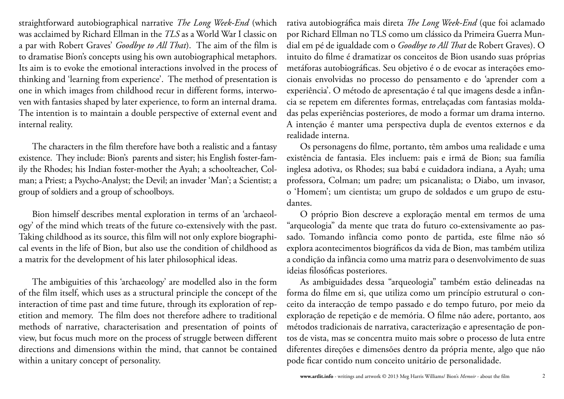straightforward autobiographical narrative *The Long Week-End* (which was acclaimed by Richard Ellman in the *TLS* as a World War I classic on a par with Robert Graves' *Goodbye to All That*). The aim of the film is to dramatise Bion's concepts using his own autobiographical metaphors. Its aim is to evoke the emotional interactions involved in the process of thinking and 'learning from experience'. The method of presentation is one in which images from childhood recur in different forms, interwoven with fantasies shaped by later experience, to form an internal drama. The intention is to maintain a double perspective of external event and internal reality.

The characters in the film therefore have both a realistic and a fantasy existence. They include: Bion's parents and sister; his English foster-family the Rhodes; his Indian foster-mother the Ayah; a schoolteacher, Colman; a Priest; a Psycho-Analyst; the Devil; an invader 'Man'; a Scientist; a group of soldiers and a group of schoolboys.

Bion himself describes mental exploration in terms of an 'archaeology' of the mind which treats of the future co-extensively with the past. Taking childhood as its source, this film will not only explore biographical events in the life of Bion, but also use the condition of childhood as a matrix for the development of his later philosophical ideas.

The ambiguities of this 'archaeology' are modelled also in the form of the film itself, which uses as a structural principle the concept of the interaction of time past and time future, through its exploration of repetition and memory. The film does not therefore adhere to traditional methods of narrative, characterisation and presentation of points of view, but focus much more on the process of struggle between different directions and dimensions within the mind, that cannot be contained within a unitary concept of personality.

rativa autobiográfica mais direta *The Long Week-End* (que foi aclamado por Richard Ellman no TLS como um clássico da Primeira Guerra Mundial em pé de igualdade com o *Goodbye to All That* de Robert Graves). O intuito do filme é dramatizar os conceitos de Bion usando suas próprias metáforas autobiográficas. Seu objetivo é o de evocar as interações emocionais envolvidas no processo do pensamento e do 'aprender com a experiência'. O método de apresentação é tal que imagens desde a infância se repetem em diferentes formas, entrelaçadas com fantasias moldadas pelas experiências posteriores, de modo a formar um drama interno. A intenção é manter uma perspectiva dupla de eventos externos e da realidade interna.

Os personagens do filme, portanto, têm ambos uma realidade e uma existência de fantasia. Eles incluem: pais e irmã de Bion; sua família inglesa adotiva, os Rhodes; sua babá e cuidadora indiana, a Ayah; uma professora, Colman; um padre; um psicanalista; o Diabo, um invasor, o 'Homem'; um cientista; um grupo de soldados e um grupo de estudantes.

O próprio Bion descreve a exploração mental em termos de uma "arqueologia" da mente que trata do futuro co-extensivamente ao passado. Tomando infância como ponto de partida, este filme não só explora acontecimentos biográficos da vida de Bion, mas também utiliza a condição da infância como uma matriz para o desenvolvimento de suas ideias filosóficas posteriores.

As ambiguidades dessa "arqueologia" também estão delineadas na forma do filme em si, que utiliza como um princípio estrutural o conceito da interacção de tempo passado e do tempo futuro, por meio da exploração de repetição e de memória. O filme não adere, portanto, aos métodos tradicionais de narrativa, caracterização e apresentação de pontos de vista, mas se concentra muito mais sobre o processo de luta entre diferentes direções e dimensões dentro da própria mente, algo que não pode ficar contido num conceito unitário de personalidade.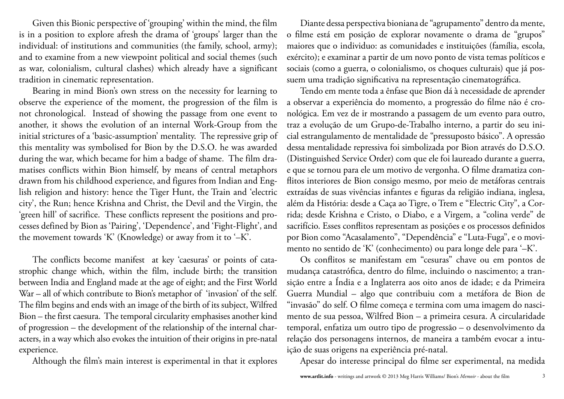Given this Bionic perspective of 'grouping' within the mind, the film is in a position to explore afresh the drama of 'groups' larger than the individual: of institutions and communities (the family, school, army); and to examine from a new viewpoint political and social themes (such as war, colonialism, cultural clashes) which already have a significant tradition in cinematic representation.

Bearing in mind Bion's own stress on the necessity for learning to observe the experience of the moment, the progression of the film is not chronological. Instead of showing the passage from one event to another, it shows the evolution of an internal Work-Group from the initial strictures of a 'basic-assumption' mentality. The repressive grip of this mentality was symbolised for Bion by the D.S.O. he was awarded during the war, which became for him a badge of shame. The film dramatises conflicts within Bion himself, by means of central metaphors drawn from his childhood experience, and figures from Indian and English religion and history: hence the Tiger Hunt, the Train and 'electric city', the Run; hence Krishna and Christ, the Devil and the Virgin, the 'green hill' of sacrifice. These conflicts represent the positions and processes defined by Bion as 'Pairing', 'Dependence', and 'Fight-Flight', and the movement towards 'K' (Knowledge) or away from it to '–K'.

The conflicts become manifest at key 'caesuras' or points of catastrophic change which, within the film, include birth; the transition between India and England made at the age of eight; and the First World War – all of which contribute to Bion's metaphor of 'invasion' of the self. The film begins and ends with an image of the birth of its subject, Wilfred Bion – the first caesura. The temporal circularity emphasises another kind of progression – the development of the relationship of the internal characters, in a way which also evokes the intuition of their origins in pre-natal experience.

Although the film's main interest is experimental in that it explores

Diante dessa perspectiva bioniana de "agrupamento" dentro da mente, o filme está em posição de explorar novamente o drama de "grupos" maiores que o individuo: as comunidades e instituições (família, escola, exército); e examinar a partir de um novo ponto de vista temas políticos e sociais (como a guerra, o colonialismo, os choques culturais) que já possuem uma tradição significativa na representação cinematográfica.

Tendo em mente toda a ênfase que Bion dá à necessidade de aprender a observar a experiência do momento, a progressão do filme não é cronológica. Em vez de ir mostrando a passagem de um evento para outro, traz a evolução de um Grupo-de-Trabalho interno, a partir do seu inicial estrangulamento de mentalidade de "pressuposto básico". A opressão dessa mentalidade repressiva foi simbolizada por Bion através do D.S.O. (Distinguished Service Order) com que ele foi laureado durante a guerra, e que se tornou para ele um motivo de vergonha. O filme dramatiza conflitos interiores de Bion consigo mesmo, por meio de metáforas centrais extraídas de suas vivências infantes e figuras da religião indiana, inglesa, além da História: desde a Caça ao Tigre, o Trem e "Electric City", a Corrida; desde Krishna e Cristo, o Diabo, e a Virgem, a "colina verde" de sacrifício. Esses conflitos representam as posições e os processos definidos por Bion como "Acasalamento", "Dependência" e "Luta-Fuga", e o movimento no sentido de 'K' (conhecimento) ou para longe dele para '–K'.

Os conflitos se manifestam em "cesuras" chave ou em pontos de mudança catastrófica, dentro do filme, incluindo o nascimento; a transição entre a Índia e a Inglaterra aos oito anos de idade; e da Primeira Guerra Mundial – algo que contribuiu com a metáfora de Bion de "invasão" do self. O filme começa e termina com uma imagem do nascimento de sua pessoa, Wilfred Bion – a primeira cesura. A circularidade temporal, enfatiza um outro tipo de progressão – o desenvolvimento da relação dos personagens internos, de maneira a também evocar a intuição de suas origens na experiência pré-natal.

Apesar do interesse principal do filme ser experimental, na medida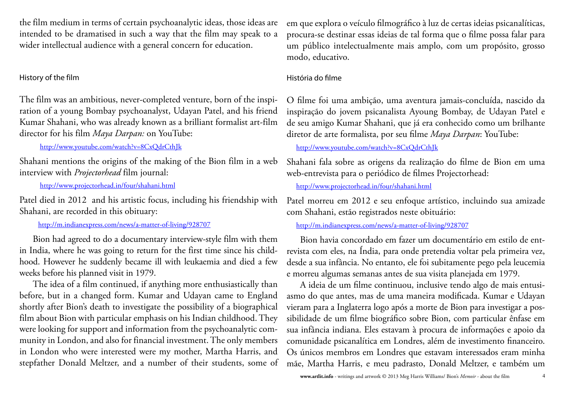the film medium in terms of certain psychoanalytic ideas, those ideas are intended to be dramatised in such a way that the film may speak to a wider intellectual audience with a general concern for education.

### History of the film

The film was an ambitious, never-completed venture, born of the inspiration of a young Bombay psychoanalyst, Udayan Patel, and his friend Kumar Shahani, who was already known as a brilliant formalist art-film director for his film *Maya Darpan:* on YouTube:

### http://www.youtube.com/watch?v=8CxQdrCthJk

Shahani mentions the origins of the making of the Bion film in a web interview with *Projectorhead* film journal:

http://www.projectorhead.in/four/shahani.html

Patel died in 2012 and his artistic focus, including his friendship with Shahani, are recorded in this obituary:

http://m.indianexpress.com/news/a-matter-of-living/928707

Bion had agreed to do a documentary interview-style film with them in India, where he was going to return for the first time since his childhood. However he suddenly became ill with leukaemia and died a few weeks before his planned visit in 1979.

The idea of a film continued, if anything more enthusiastically than before, but in a changed form. Kumar and Udayan came to England shortly after Bion's death to investigate the possibility of a biographical film about Bion with particular emphasis on his Indian childhood. They were looking for support and information from the psychoanalytic community in London, and also for financial investment. The only members in London who were interested were my mother, Martha Harris, and stepfather Donald Meltzer, and a number of their students, some of em que explora o veículo filmográfico à luz de certas ideias psicanalíticas, procura-se destinar essas ideias de tal forma que o filme possa falar para um público intelectualmente mais amplo, com um propósito, grosso modo, educativo.

## História do filme

O filme foi uma ambição, uma aventura jamais-concluída, nascido da inspiração do jovem psicanalista Ayoung Bombay, de Udayan Patel e de seu amigo Kumar Shahani, que já era conhecido como um brilhante diretor de arte formalista, por seu filme *Maya Darpan*: YouTube:

http://www.youtube.com/watch?v=8CxQdrCthJk

Shahani fala sobre as origens da realização do filme de Bion em uma web-entrevista para o periódico de filmes Projectorhead:

http://www.projectorhead.in/four/shahani.html

Patel morreu em 2012 e seu enfoque artístico, incluindo sua amizade com Shahani, estão registrados neste obituário:

### http://m.indianexpress.com/news/a-matter-of-living/928707

Bion havia concordado em fazer um documentário em estilo de entrevista com eles, na Índia, para onde pretendia voltar pela primeira vez, desde a sua infância. No entanto, ele foi subitamente pego pela leucemia e morreu algumas semanas antes de sua visita planejada em 1979.

A ideia de um filme continuou, inclusive tendo algo de mais entusiasmo do que antes, mas de uma maneira modificada. Kumar e Udayan vieram para a Inglaterra logo após a morte de Bion para investigar a possibilidade de um filme biográfico sobre Bion, com particular ênfase em sua infância indiana. Eles estavam à procura de informações e apoio da comunidade psicanalítica em Londres, além de investimento financeiro. Os únicos membros em Londres que estavam interessados eram minha mãe, Martha Harris, e meu padrasto, Donald Meltzer, e também um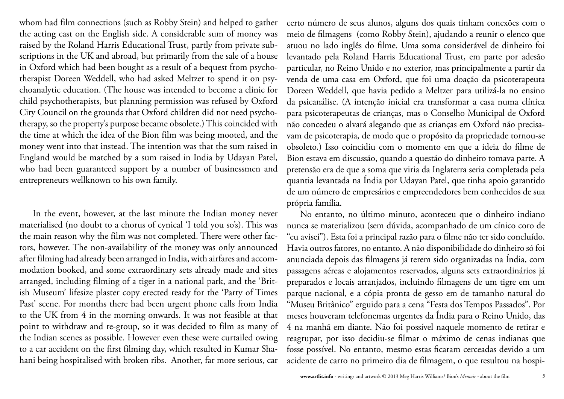whom had film connections (such as Robby Stein) and helped to gather the acting cast on the English side. A considerable sum of money was raised by the Roland Harris Educational Trust, partly from private subscriptions in the UK and abroad, but primarily from the sale of a house in Oxford which had been bought as a result of a bequest from psychotherapist Doreen Weddell, who had asked Meltzer to spend it on psychoanalytic education. (The house was intended to become a clinic for child psychotherapists, but planning permission was refused by Oxford City Council on the grounds that Oxford children did not need psychotherapy, so the property's purpose became obsolete.) This coincided with the time at which the idea of the Bion film was being mooted, and the money went into that instead. The intention was that the sum raised in England would be matched by a sum raised in India by Udayan Patel, who had been guaranteed support by a number of businessmen and entrepreneurs wellknown to his own family.

In the event, however, at the last minute the Indian money never materialised (no doubt to a chorus of cynical 'I told you so's). This was the main reason why the film was not completed. There were other factors, however. The non-availability of the money was only announced after filming had already been arranged in India, with airfares and accommodation booked, and some extraordinary sets already made and sites arranged, including filming of a tiger in a national park, and the 'British Museum' lifesize plaster copy erected ready for the 'Party of Times Past' scene. For months there had been urgent phone calls from India to the UK from 4 in the morning onwards. It was not feasible at that point to withdraw and re-group, so it was decided to film as many of the Indian scenes as possible. However even these were curtailed owing to a car accident on the first filming day, which resulted in Kumar Shahani being hospitalised with broken ribs. Another, far more serious, car

certo número de seus alunos, alguns dos quais tinham conexões com o meio de filmagens (como Robby Stein), ajudando a reunir o elenco que atuou no lado inglês do filme. Uma soma considerável de dinheiro foi levantado pela Roland Harris Educational Trust, em parte por adesão particular, no Reino Unido e no exterior, mas principalmente a partir da venda de uma casa em Oxford, que foi uma doação da psicoterapeuta Doreen Weddell, que havia pedido a Meltzer para utilizá-la no ensino da psicanálise. (A intenção inicial era transformar a casa numa clínica para psicoterapeutas de crianças, mas o Conselho Municipal de Oxford não concedeu o alvará alegando que as crianças em Oxford não precisavam de psicoterapia, de modo que o propósito da propriedade tornou-se obsoleto.) Isso coincidiu com o momento em que a ideia do filme de Bion estava em discussão, quando a questão do dinheiro tomava parte. A pretensão era de que a soma que viria da Inglaterra seria completada pela quantia levantada na Índia por Udayan Patel, que tinha apoio garantido de um número de empresários e empreendedores bem conhecidos de sua própria família.

No entanto, no último minuto, aconteceu que o dinheiro indiano nunca se materializou (sem dúvida, acompanhado de um cínico coro de "eu avisei"). Esta foi a principal razão para o filme não ter sido concluído. Havia outros fatores, no entanto. A não disponibilidade do dinheiro só foi anunciada depois das filmagens já terem sido organizadas na Índia, com passagens aéreas e alojamentos reservados, alguns sets extraordinários já preparados e locais arranjados, incluindo filmagens de um tigre em um parque nacional, e a cópia pronta de gesso em de tamanho natural do "Museu Britânico" erguido para a cena "Festa dos Tempos Passados". Por meses houveram telefonemas urgentes da Índia para o Reino Unido, das 4 na manhã em diante. Não foi possível naquele momento de retirar e reagrupar, por isso decidiu-se filmar o máximo de cenas indianas que fosse possível. No entanto, mesmo estas ficaram cerceadas devido a um acidente de carro no primeiro dia de filmagem, o que resultou na hospi-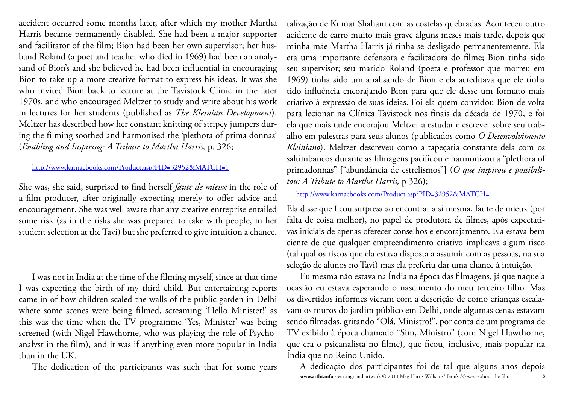accident occurred some months later, after which my mother Martha Harris became permanently disabled. She had been a major supporter and facilitator of the film; Bion had been her own supervisor; her husband Roland (a poet and teacher who died in 1969) had been an analysand of Bion's and she believed he had been influential in encouraging Bion to take up a more creative format to express his ideas. It was she who invited Bion back to lecture at the Tavistock Clinic in the later 1970s, and who encouraged Meltzer to study and write about his work in lectures for her students (published as *The Kleinian Development*). Meltzer has described how her constant knitting of stripey jumpers during the filming soothed and harmonised the 'plethora of prima donnas' (*Enabling and Inspiring: A Tribute to Martha Harris,* p. 326;

### http://www.karnacbooks.com/Product.asp?PID=32952&MATCH=1

She was, she said, surprised to find herself *faute de mieux* in the role of a film producer, after originally expecting merely to offer advice and encouragement. She was well aware that any creative entreprise entailed some risk (as in the risks she was prepared to take with people, in her student selection at the Tavi) but she preferred to give intuition a chance.

I was not in India at the time of the filming myself, since at that time I was expecting the birth of my third child. But entertaining reports came in of how children scaled the walls of the public garden in Delhi where some scenes were being filmed, screaming 'Hello Minister!' as this was the time when the TV programme 'Yes, Minister' was being screened (with Nigel Hawthorne, who was playing the role of Psychoanalyst in the film), and it was if anything even more popular in India than in the UK.

The dedication of the participants was such that for some years

talização de Kumar Shahani com as costelas quebradas. Aconteceu outro acidente de carro muito mais grave alguns meses mais tarde, depois que minha mãe Martha Harris já tinha se desligado permanentemente. Ela era uma importante defensora e facilitadora do filme; Bion tinha sido seu supervisor; seu marido Roland (poeta e professor que morreu em 1969) tinha sido um analisando de Bion e ela acreditava que ele tinha tido influência encorajando Bion para que ele desse um formato mais criativo à expressão de suas ideias. Foi ela quem convidou Bion de volta para lecionar na Clínica Tavistock nos finais da década de 1970, e foi ela que mais tarde encorajou Meltzer a estudar e escrever sobre seu trabalho em palestras para seus alunos (publicados como *O Desenvolvimento Kleiniano*). Meltzer descreveu como a tapeçaria constante dela com os saltimbancos durante as filmagens pacificou e harmonizou a "plethora of primadonnas" ["abundância de estrelismos"] (*O que inspirou e possibilitou: A Tribute to Martha Harris,* p 326);

## http://www.karnacbooks.com/Product.asp?PID=32952&MATCH=1

Ela disse que ficou surpresa ao encontrar a si mesma, faute de mieux (por falta de coisa melhor), no papel de produtora de filmes, após expectativas iniciais de apenas oferecer conselhos e encorajamento. Ela estava bem ciente de que qualquer empreendimento criativo implicava algum risco (tal qual os riscos que ela estava disposta a assumir com as pessoas, na sua seleção de alunos no Tavi) mas ela preferiu dar uma chance à intuição.

Eu mesma não estava na Índia na época das filmagens, já que naquela ocasião eu estava esperando o nascimento do meu terceiro filho. Mas os divertidos informes vieram com a descrição de como crianças escalavam os muros do jardim público em Delhi, onde algumas cenas estavam sendo filmadas, gritando "Olá, Ministro!", por conta de um programa de TV exibido à época chamado "Sim, Ministro" (com Nigel Hawthorne, que era o psicanalista no filme), que ficou, inclusive, mais popular na Índia que no Reino Unido.

**www.artlit.info** - writings and artwork © 2013 Meg Harris Williams/ Bion's *Memoir* - about the film 6 A dedicação dos participantes foi de tal que alguns anos depois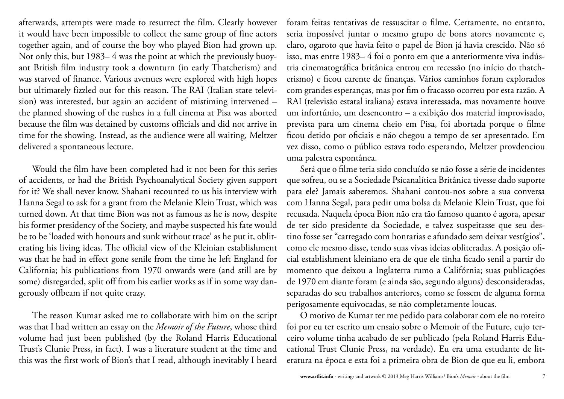afterwards, attempts were made to resurrect the film. Clearly however it would have been impossible to collect the same group of fine actors together again, and of course the boy who played Bion had grown up. Not only this, but 1983– 4 was the point at which the previously buoyant British film industry took a downturn (in early Thatcherism) and was starved of finance. Various avenues were explored with high hopes but ultimately fizzled out for this reason. The RAI (Italian state television) was interested, but again an accident of mistiming intervened – the planned showing of the rushes in a full cinema at Pisa was aborted because the film was detained by customs officials and did not arrive in time for the showing. Instead, as the audience were all waiting, Meltzer delivered a spontaneous lecture.

Would the film have been completed had it not been for this series of accidents, or had the British Psychoanalytical Society given support for it? We shall never know. Shahani recounted to us his interview with Hanna Segal to ask for a grant from the Melanie Klein Trust, which was turned down. At that time Bion was not as famous as he is now, despite his former presidency of the Society, and maybe suspected his fate would be to be 'loaded with honours and sunk without trace' as he put it, obliterating his living ideas. The official view of the Kleinian establishment was that he had in effect gone senile from the time he left England for California; his publications from 1970 onwards were (and still are by some) disregarded, split off from his earlier works as if in some way dangerously offbeam if not quite crazy.

The reason Kumar asked me to collaborate with him on the script was that I had written an essay on the *Memoir of the Future*, whose third volume had just been published (by the Roland Harris Educational Trust's Clunie Press, in fact)*.* I was a literature student at the time and this was the first work of Bion's that I read, although inevitably I heard

foram feitas tentativas de ressuscitar o filme. Certamente, no entanto, seria impossível juntar o mesmo grupo de bons atores novamente e, claro, ogaroto que havia feito o papel de Bion já havia crescido. Não só isso, mas entre 1983– 4 foi o ponto em que a anteriormente viva indústria cinematográfica britânica entrou em recessão (no início do thatcherismo) e ficou carente de finanças. Vários caminhos foram explorados com grandes esperanças, mas por fim o fracasso ocorreu por esta razão. A RAI (televisão estatal italiana) estava interessada, mas novamente houve um infortúnio, um desencontro – a exibição dos material improvisado, prevista para um cinema cheio em Pisa, foi abortada porque o filme ficou detido por oficiais e não chegou a tempo de ser apresentado. Em vez disso, como o público estava todo esperando, Meltzer provdenciou uma palestra espontânea.

Será que o filme teria sido concluído se não fosse a série de incidentes que sofreu, ou se a Sociedade Psicanalítica Britânica tivesse dado suporte para ele? Jamais saberemos. Shahani contou-nos sobre a sua conversa com Hanna Segal, para pedir uma bolsa da Melanie Klein Trust, que foi recusada. Naquela época Bion não era tão famoso quanto é agora, apesar de ter sido presidente da Sociedade, e talvez suspeitasse que seu destino fosse ser "carregado com honrarias e afundado sem deixar vestígios", como ele mesmo disse, tendo suas vivas ideias obliteradas. A posição oficial establishment kleiniano era de que ele tinha ficado senil a partir do momento que deixou a Inglaterra rumo a Califórnia; suas publicações de 1970 em diante foram (e ainda são, segundo alguns) desconsideradas, separadas do seu trabalhos anteriores, como se fossem de alguma forma perigosamente equivocadas, se não completamente loucas.

O motivo de Kumar ter me pedido para colaborar com ele no roteiro foi por eu ter escrito um ensaio sobre o Memoir of the Future, cujo terceiro volume tinha acabado de ser publicado (pela Roland Harris Educational Trust Clunie Press, na verdade). Eu era uma estudante de literatura na época e esta foi a primeira obra de Bion de que eu li, embora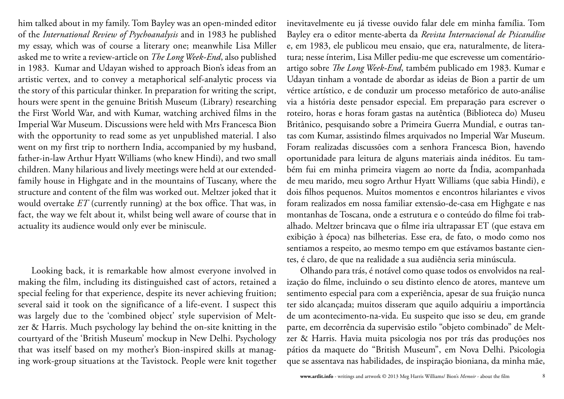him talked about in my family. Tom Bayley was an open-minded editor of the *International Review of Psychoanalysis* and in 1983 he published my essay, which was of course a literary one; meanwhile Lisa Miller asked me to write a review-article on *The Long Week-End*, also published in 1983. Kumar and Udayan wished to approach Bion's ideas from an artistic vertex, and to convey a metaphorical self-analytic process via the story of this particular thinker. In preparation for writing the script, hours were spent in the genuine British Museum (Library) researching the First World War, and with Kumar, watching archived films in the Imperial War Museum. Discussions were held with Mrs Francesca Bion with the opportunity to read some as yet unpublished material. I also went on my first trip to northern India, accompanied by my husband, father-in-law Arthur Hyatt Williams (who knew Hindi), and two small children. Many hilarious and lively meetings were held at our extendedfamily house in Highgate and in the mountains of Tuscany, where the structure and content of the film was worked out. Meltzer joked that it would overtake *ET* (currently running) at the box office. That was, in fact, the way we felt about it, whilst being well aware of course that in actuality its audience would only ever be miniscule.

Looking back, it is remarkable how almost everyone involved in making the film, including its distinguished cast of actors, retained a special feeling for that experience, despite its never achieving fruition; several said it took on the significance of a life-event. I suspect this was largely due to the 'combined object' style supervision of Meltzer & Harris. Much psychology lay behind the on-site knitting in the courtyard of the 'British Museum' mockup in New Delhi. Psychology that was itself based on my mother's Bion-inspired skills at managing work-group situations at the Tavistock. People were knit together inevitavelmente eu já tivesse ouvido falar dele em minha família. Tom Bayley era o editor mente-aberta da *Revista Internacional de Psicanálise*  e, em 1983, ele publicou meu ensaio, que era, naturalmente, de literatura; nesse ínterim, Lisa Miller pediu-me que escrevesse um comentárioartigo sobre *The Long Week-End*, também publicado em 1983. Kumar e Udayan tinham a vontade de abordar as ideias de Bion a partir de um vértice artístico, e de conduzir um processo metafórico de auto-análise via a história deste pensador especial. Em preparação para escrever o roteiro, horas e horas foram gastas na autêntica (Biblioteca do) Museu Britânico, pesquisando sobre a Primeira Guerra Mundial, e outras tantas com Kumar, assistindo filmes arquivados no Imperial War Museum. Foram realizadas discussões com a senhora Francesca Bion, havendo oportunidade para leitura de alguns materiais ainda inéditos. Eu também fui em minha primeira viagem ao norte da Índia, acompanhada de meu marido, meu sogro Arthur Hyatt Williams (que sabia Hindi), e dois filhos pequenos. Muitos momentos e encontros hilariantes e vivos foram realizados em nossa familiar extensão-de-casa em Highgate e nas montanhas de Toscana, onde a estrutura e o conteúdo do filme foi trabalhado. Meltzer brincava que o filme iria ultrapassar ET (que estava em exibição à época) nas bilheterias. Esse era, de fato, o modo como nos sentiamos a respeito, ao mesmo tempo em que estávamos bastante cientes, é claro, de que na realidade a sua audiência seria minúscula.

Olhando para trás, é notável como quase todos os envolvidos na realização do filme, incluindo o seu distinto elenco de atores, manteve um sentimento especial para com a experiência, apesar de sua fruição nunca ter sido alcançada; muitos disseram que aquilo adquiriu a importância de um acontecimento-na-vida. Eu suspeito que isso se deu, em grande parte, em decorrência da supervisão estilo "objeto combinado" de Meltzer & Harris. Havia muita psicologia nos por trás das produções nos pátios da maquete do "British Museum", em Nova Delhi. Psicologia que se assentava nas habilidades, de inspiração bioniana, da minha mãe,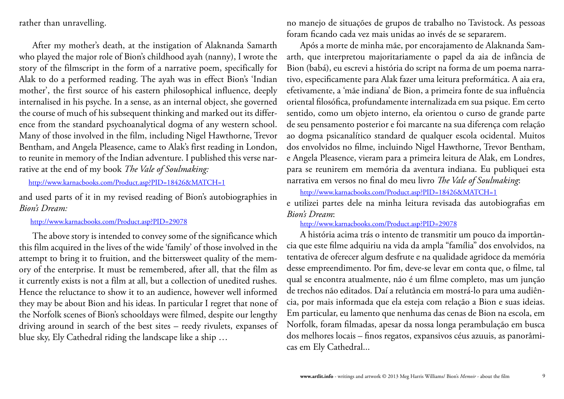rather than unravelling.

After my mother's death, at the instigation of Alaknanda Samarth who played the major role of Bion's childhood ayah (nanny), I wrote the story of the filmscript in the form of a narrative poem, specifically for Alak to do a performed reading. The ayah was in effect Bion's 'Indian mother', the first source of his eastern philosophical influence, deeply internalised in his psyche. In a sense, as an internal object, she governed the course of much of his subsequent thinking and marked out its difference from the standard psychoanalytical dogma of any western school. Many of those involved in the film, including Nigel Hawthorne, Trevor Bentham, and Angela Pleasence, came to Alak's first reading in London, to reunite in memory of the Indian adventure. I published this verse narrative at the end of my book *The Vale of Soulmaking:*

http://www.karnacbooks.com/Product.asp?PID=18426&MATCH=1

and used parts of it in my revised reading of Bion's autobiographies in *Bion's Dream:*

#### http://www.karnacbooks.com/Product.asp?PID=29078

The above story is intended to convey some of the significance which this film acquired in the lives of the wide 'family' of those involved in the attempt to bring it to fruition, and the bittersweet quality of the memory of the enterprise. It must be remembered, after all, that the film as it currently exists is not a film at all, but a collection of unedited rushes. Hence the reluctance to show it to an audience, however well informed they may be about Bion and his ideas. In particular I regret that none of the Norfolk scenes of Bion's schooldays were filmed, despite our lengthy driving around in search of the best sites – reedy rivulets, expanses of blue sky, Ely Cathedral riding the landscape like a ship …

no manejo de situações de grupos de trabalho no Tavistock. As pessoas foram ficando cada vez mais unidas ao invés de se separarem.

Após a morte de minha mãe, por encorajamento de Alaknanda Samarth, que interpretou majoritariamente o papel da aia de infância de Bion (babá), eu escrevi a história do script na forma de um poema narrativo, especificamente para Alak fazer uma leitura preformática. A aia era, efetivamente, a 'mãe indiana' de Bion, a primeira fonte de sua influência oriental filosófica, profundamente internalizada em sua psique. Em certo sentido, como um objeto interno, ela orientou o curso de grande parte de seu pensamento posterior e foi marcante na sua diferença com relação ao dogma psicanalítico standard de qualquer escola ocidental. Muitos dos envolvidos no filme, incluindo Nigel Hawthorne, Trevor Bentham, e Angela Pleasence, vieram para a primeira leitura de Alak, em Londres, para se reunirem em memória da aventura indiana. Eu publiquei esta narrativa em versos no final do meu livro *The Vale of Soulmaking*:

### http://www.karnacbooks.com/Product.asp?PID=18426&MATCH=1

e utilizei partes dele na minha leitura revisada das autobiografias em *Bion's Dream*:

### http://www.karnacbooks.com/Product.asp?PID=29078

A história acima trás o intento de transmitir um pouco da importância que este filme adquiriu na vida da ampla "família" dos envolvidos, na tentativa de oferecer algum desfrute e na qualidade agridoce da memória desse empreendimento. Por fim, deve-se levar em conta que, o filme, tal qual se encontra atualmente, não é um filme completo, mas um junção de trechos não editados. Daí a relutância em mostrá-lo para uma audiência, por mais informada que ela esteja com relação a Bion e suas ideias. Em particular, eu lamento que nenhuma das cenas de Bion na escola, em Norfolk, foram filmadas, apesar da nossa longa perambulação em busca dos melhores locais – finos regatos, expansivos céus azuuis, as panorâmicas em Ely Cathedral...